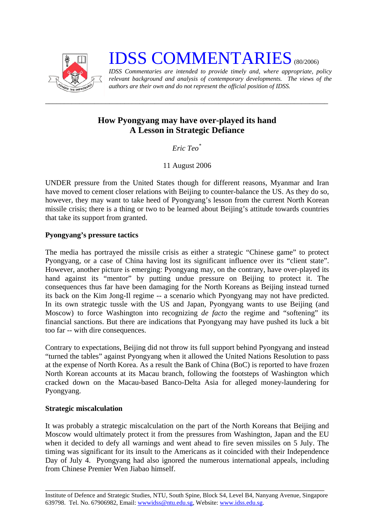

**IDSS COMMENTARIES** (80/2006)

*IDSS Commentaries are intended to provide timely and, where appropriate, policy relevant background and analysis of contemporary developments. The views of the authors are their own and do not represent the official position of IDSS.* 

## **How Pyongyang may have over-played its hand A Lesson in Strategic Defiance**

*\_\_\_\_\_\_\_\_\_\_\_\_\_\_\_\_\_\_\_\_\_\_\_\_\_\_\_\_\_\_\_\_\_\_\_\_\_\_\_\_\_\_\_\_\_\_\_\_\_\_\_\_\_\_\_\_\_\_\_\_\_\_\_\_\_\_\_\_\_\_\_\_\_\_\_* 

*Eric Teo*[\\*](#page-2-0)

11 August 2006

UNDER pressure from the United States though for different reasons, Myanmar and Iran have moved to cement closer relations with Beijing to counter-balance the US. As they do so, however, they may want to take heed of Pyongyang's lesson from the current North Korean missile crisis; there is a thing or two to be learned about Beijing's attitude towards countries that take its support from granted.

## **Pyongyang's pressure tactics**

The media has portrayed the missile crisis as either a strategic "Chinese game" to protect Pyongyang, or a case of China having lost its significant influence over its "client state". However, another picture is emerging: Pyongyang may, on the contrary, have over-played its hand against its "mentor" by putting undue pressure on Beijing to protect it. The consequences thus far have been damaging for the North Koreans as Beijing instead turned its back on the Kim Jong-Il regime -- a scenario which Pyongyang may not have predicted. In its own strategic tussle with the US and Japan, Pyongyang wants to use Beijing (and Moscow) to force Washington into recognizing *de facto* the regime and "softening" its financial sanctions. But there are indications that Pyongyang may have pushed its luck a bit too far -- with dire consequences.

Contrary to expectations, Beijing did not throw its full support behind Pyongyang and instead "turned the tables" against Pyongyang when it allowed the United Nations Resolution to pass at the expense of North Korea. As a result the Bank of China (BoC) is reported to have frozen North Korean accounts at its Macau branch, following the footsteps of Washington which cracked down on the Macau-based Banco-Delta Asia for alleged money-laundering for Pyongyang.

## **Strategic miscalculation**

It was probably a strategic miscalculation on the part of the North Koreans that Beijing and Moscow would ultimately protect it from the pressures from Washington, Japan and the EU when it decided to defy all warnings and went ahead to fire seven missiles on 5 July. The timing was significant for its insult to the Americans as it coincided with their Independence Day of July 4. Pyongyang had also ignored the numerous international appeals, including from Chinese Premier Wen Jiabao himself.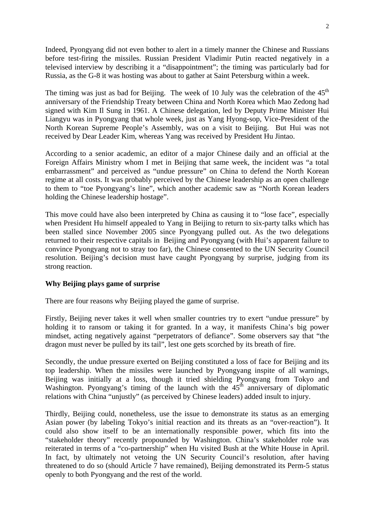Indeed, Pyongyang did not even bother to alert in a timely manner the Chinese and Russians before test-firing the missiles. Russian President Vladimir Putin reacted negatively in a televised interview by describing it a "disappointment"; the timing was particularly bad for Russia, as the G-8 it was hosting was about to gather at Saint Petersburg within a week.

The timing was just as bad for Beijing. The week of 10 July was the celebration of the  $45<sup>th</sup>$ anniversary of the Friendship Treaty between China and North Korea which Mao Zedong had signed with Kim Il Sung in 1961. A Chinese delegation, led by Deputy Prime Minister Hui Liangyu was in Pyongyang that whole week, just as Yang Hyong-sop, Vice-President of the North Korean Supreme People's Assembly, was on a visit to Beijing. But Hui was not received by Dear Leader Kim, whereas Yang was received by President Hu Jintao.

According to a senior academic, an editor of a major Chinese daily and an official at the Foreign Affairs Ministry whom I met in Beijing that same week, the incident was "a total embarrassment" and perceived as "undue pressure" on China to defend the North Korean regime at all costs. It was probably perceived by the Chinese leadership as an open challenge to them to "toe Pyongyang's line", which another academic saw as "North Korean leaders holding the Chinese leadership hostage".

This move could have also been interpreted by China as causing it to "lose face", especially when President Hu himself appealed to Yang in Beijing to return to six-party talks which has been stalled since November 2005 since Pyongyang pulled out. As the two delegations returned to their respective capitals in Beijing and Pyongyang (with Hui's apparent failure to convince Pyongyang not to stray too far), the Chinese consented to the UN Security Council resolution. Beijing's decision must have caught Pyongyang by surprise, judging from its strong reaction.

## **Why Beijing plays game of surprise**

There are four reasons why Beijing played the game of surprise.

Firstly, Beijing never takes it well when smaller countries try to exert "undue pressure" by holding it to ransom or taking it for granted. In a way, it manifests China's big power mindset, acting negatively against "perpetrators of defiance". Some observers say that "the dragon must never be pulled by its tail", lest one gets scorched by its breath of fire.

Secondly, the undue pressure exerted on Beijing constituted a loss of face for Beijing and its top leadership. When the missiles were launched by Pyongyang inspite of all warnings, Beijing was initially at a loss, though it tried shielding Pyongyang from Tokyo and Washington. Pyongyang's timing of the launch with the  $45<sup>th</sup>$  anniversary of diplomatic relations with China "unjustly" (as perceived by Chinese leaders) added insult to injury.

Thirdly, Beijing could, nonetheless, use the issue to demonstrate its status as an emerging Asian power (by labeling Tokyo's initial reaction and its threats as an "over-reaction"). It could also show itself to be an internationally responsible power, which fits into the "stakeholder theory" recently propounded by Washington. China's stakeholder role was reiterated in terms of a "co-partnership" when Hu visited Bush at the White House in April. In fact, by ultimately not vetoing the UN Security Council's resolution, after having threatened to do so (should Article 7 have remained), Beijing demonstrated its Perm-5 status openly to both Pyongyang and the rest of the world.